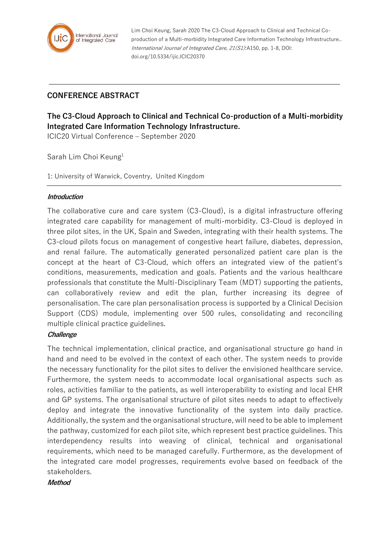

Lim Choi Keung, Sarah 2020 The C3-Cloud Approach to Clinical and Technical Coproduction of a Multi-morbidity Integrated Care Information Technology Infrastructure.. International Journal of Integrated Care, 21(S1):A150, pp. 1-8, DOI: doi.org/10.5334/ijic.ICIC20370

## **CONFERENCE ABSTRACT**

# **The C3-Cloud Approach to Clinical and Technical Co-production of a Multi-morbidity Integrated Care Information Technology Infrastructure.**

ICIC20 Virtual Conference – September 2020

Sarah Lim Choi Keung<sup>1</sup>

1: University of Warwick, Coventry, United Kingdom

#### **Introduction**

The collaborative cure and care system (C3-Cloud), is a digital infrastructure offering integrated care capability for management of multi-morbidity. C3-Cloud is deployed in three pilot sites, in the UK, Spain and Sweden, integrating with their health systems. The C3-cloud pilots focus on management of congestive heart failure, diabetes, depression, and renal failure. The automatically generated personalized patient care plan is the concept at the heart of C3-Cloud, which offers an integrated view of the patient's conditions, measurements, medication and goals. Patients and the various healthcare professionals that constitute the Multi-Disciplinary Team (MDT) supporting the patients, can collaboratively review and edit the plan, further increasing its degree of personalisation. The care plan personalisation process is supported by a Clinical Decision Support (CDS) module, implementing over 500 rules, consolidating and reconciling multiple clinical practice guidelines.

#### **Challenge**

The technical implementation, clinical practice, and organisational structure go hand in hand and need to be evolved in the context of each other. The system needs to provide the necessary functionality for the pilot sites to deliver the envisioned healthcare service. Furthermore, the system needs to accommodate local organisational aspects such as roles, activities familiar to the patients, as well interoperability to existing and local EHR and GP systems. The organisational structure of pilot sites needs to adapt to effectively deploy and integrate the innovative functionality of the system into daily practice. Additionally, the system and the organisational structure, will need to be able to implement the pathway, customized for each pilot site, which represent best practice guidelines. This interdependency results into weaving of clinical, technical and organisational requirements, which need to be managed carefully. Furthermore, as the development of the integrated care model progresses, requirements evolve based on feedback of the stakeholders.

**Method**